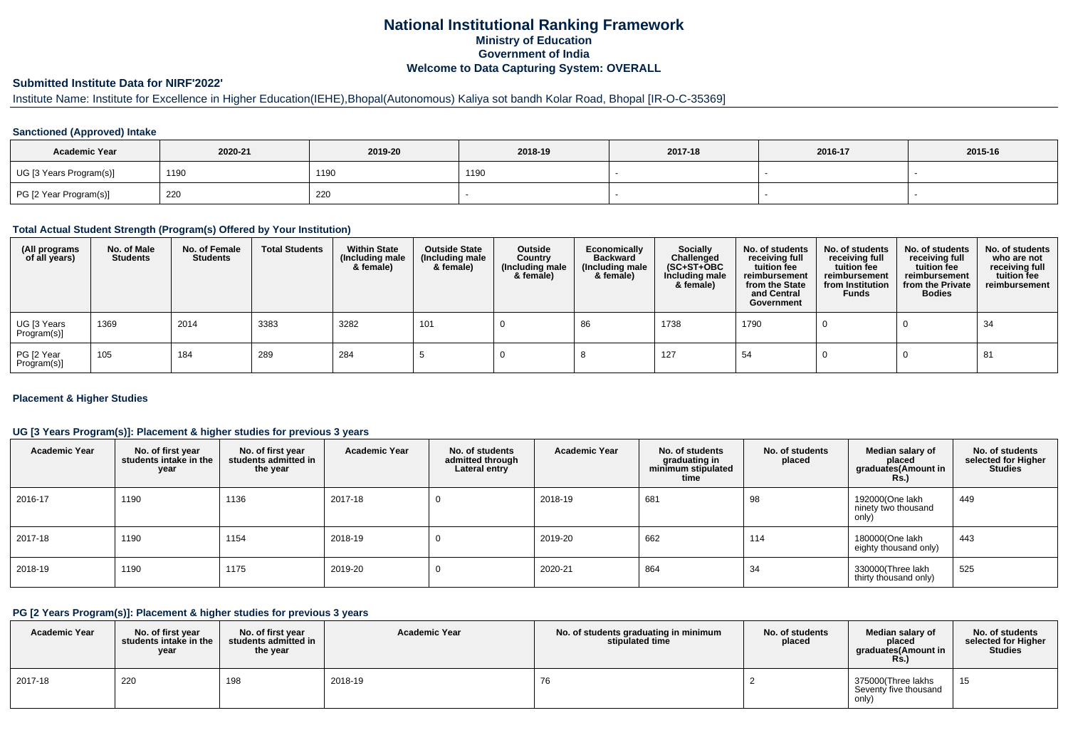# **National Institutional Ranking FrameworkMinistry of Education Government of IndiaWelcome to Data Capturing System: OVERALL**

## **Submitted Institute Data for NIRF'2022'**

# Institute Name: Institute for Excellence in Higher Education(IEHE),Bhopal(Autonomous) Kaliya sot bandh Kolar Road, Bhopal [IR-O-C-35369]

## **Sanctioned (Approved) Intake**

| <b>Academic Year</b>    | 2020-21 | 2019-20 | 2018-19 | 2017-18 | 2016-17 | 2015-16 |
|-------------------------|---------|---------|---------|---------|---------|---------|
| UG [3 Years Program(s)] | 1190    | 1190    | 1190    |         |         |         |
| PG [2 Year Program(s)]  | 220     | 220     |         |         |         |         |

### **Total Actual Student Strength (Program(s) Offered by Your Institution)**

| (All programs<br>of all years) | No. of Male<br><b>Students</b> | No. of Female<br><b>Students</b> | <b>Total Students</b> | <b>Within State</b><br>(Including male<br>& female) | <b>Outside State</b><br>(Including male<br>& female) | Outside<br>Country<br>(Including male<br>& female) | Economically<br><b>Backward</b><br>(Including male<br>& female) | <b>Socially</b><br>Challenged<br>$(SC+ST+OBC)$<br>Including male<br>& female) | No. of students<br>receiving full<br>tuition fee<br>reimbursement<br>from the State<br>and Central<br>Government | No. of students<br>receiving full<br>tuition fee<br>reimbursement<br>from Institution<br><b>Funds</b> | No. of students<br>receiving full<br>tuition fee<br>reimbursement<br>from the Private<br><b>Bodies</b> | No. of students<br>who are not<br>receiving full<br>tuition fee<br>reimbursement |
|--------------------------------|--------------------------------|----------------------------------|-----------------------|-----------------------------------------------------|------------------------------------------------------|----------------------------------------------------|-----------------------------------------------------------------|-------------------------------------------------------------------------------|------------------------------------------------------------------------------------------------------------------|-------------------------------------------------------------------------------------------------------|--------------------------------------------------------------------------------------------------------|----------------------------------------------------------------------------------|
| UG [3 Years<br>Program(s)]     | 1369                           | 2014                             | 3383                  | 3282                                                | 101                                                  |                                                    | 86                                                              | 1738                                                                          | 1790                                                                                                             |                                                                                                       |                                                                                                        | 34                                                                               |
| PG [2 Year<br>Program(s)]      | 105                            | 184                              | 289                   | 284                                                 |                                                      |                                                    |                                                                 | 127                                                                           | 54                                                                                                               |                                                                                                       |                                                                                                        | 81                                                                               |

## **Placement & Higher Studies**

## **UG [3 Years Program(s)]: Placement & higher studies for previous 3 years**

| <b>Academic Year</b> | No. of first year<br>students intake in the<br>year | No. of first vear<br>students admitted in<br>the year | <b>Academic Year</b> | No. of students<br>admitted through<br>Lateral entry | <b>Academic Year</b> | No. of students<br>graduating in<br>minimum stipulated<br>time | No. of students<br>placed | Median salary of<br>placed<br>graduates(Amount in<br>Rs.) | No. of students<br>selected for Higher<br><b>Studies</b> |
|----------------------|-----------------------------------------------------|-------------------------------------------------------|----------------------|------------------------------------------------------|----------------------|----------------------------------------------------------------|---------------------------|-----------------------------------------------------------|----------------------------------------------------------|
| 2016-17              | 1190                                                | 1136                                                  | 2017-18              | 0                                                    | 2018-19              | 681                                                            | 98                        | 192000(One lakh<br>ninety two thousand<br>only)           | 449                                                      |
| 2017-18              | 1190                                                | 1154                                                  | 2018-19              |                                                      | 2019-20              | 662                                                            | 114                       | 180000(One lakh<br>eighty thousand only)                  | 443                                                      |
| 2018-19              | 1190                                                | 1175                                                  | 2019-20              | 0                                                    | 2020-21              | 864                                                            | 34                        | 330000(Three lakh<br>thirty thousand only)                | 525                                                      |

### **PG [2 Years Program(s)]: Placement & higher studies for previous 3 years**

| <b>Academic Year</b> | No. of first vear<br>students intake in the I<br>year | No. of first year<br>students admitted in<br>the year | <b>Academic Year</b> | No. of students graduating in minimum<br>stipulated time | No. of students<br>placed | Median salary of<br>placed<br>graduates(Amount in<br>Rs. | No. of students<br>selected for Higher<br><b>Studies</b> |
|----------------------|-------------------------------------------------------|-------------------------------------------------------|----------------------|----------------------------------------------------------|---------------------------|----------------------------------------------------------|----------------------------------------------------------|
| 2017-18              | 220                                                   | 198                                                   | 2018-19              | 76                                                       |                           | 375000(Three lakhs<br>Seventy five thousand<br>only)     | 15                                                       |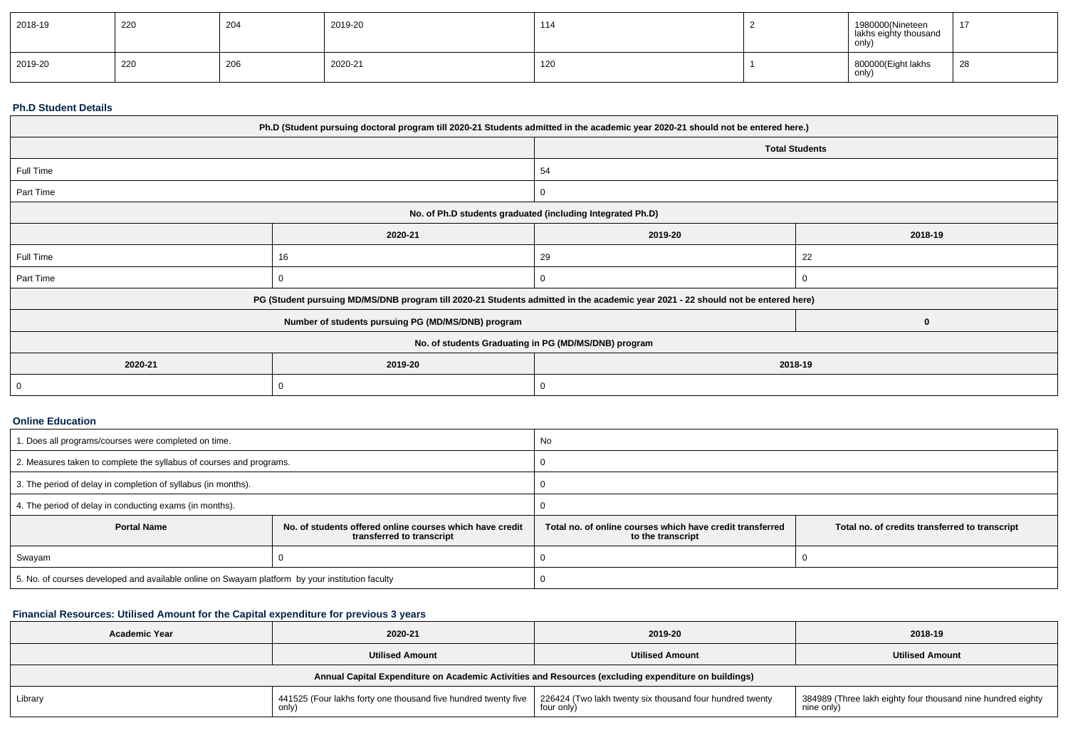| 2018-19 | 220 | 204 | 2019-20 | 114 | 1980000(Nineteen<br>lakhs eighty thousand<br>only) | $\overline{A}$ |
|---------|-----|-----|---------|-----|----------------------------------------------------|----------------|
| 2019-20 | 220 | 206 | 2020-21 | 120 | 800000(Eight lakhs<br>only)                        | 28             |

#### **Ph.D Student Details**

| Ph.D (Student pursuing doctoral program till 2020-21 Students admitted in the academic year 2020-21 should not be entered here.) |                                                                                                                                  |                                                            |                       |  |  |
|----------------------------------------------------------------------------------------------------------------------------------|----------------------------------------------------------------------------------------------------------------------------------|------------------------------------------------------------|-----------------------|--|--|
|                                                                                                                                  |                                                                                                                                  |                                                            | <b>Total Students</b> |  |  |
| Full Time                                                                                                                        |                                                                                                                                  | 54                                                         |                       |  |  |
| Part Time                                                                                                                        |                                                                                                                                  | $\mathbf{0}$                                               |                       |  |  |
|                                                                                                                                  |                                                                                                                                  | No. of Ph.D students graduated (including Integrated Ph.D) |                       |  |  |
|                                                                                                                                  | 2019-20                                                                                                                          | 2018-19                                                    |                       |  |  |
| Full Time                                                                                                                        | 16                                                                                                                               | 29                                                         | 22                    |  |  |
| Part Time                                                                                                                        |                                                                                                                                  |                                                            |                       |  |  |
|                                                                                                                                  | PG (Student pursuing MD/MS/DNB program till 2020-21 Students admitted in the academic year 2021 - 22 should not be entered here) |                                                            |                       |  |  |
|                                                                                                                                  | Number of students pursuing PG (MD/MS/DNB) program                                                                               |                                                            | $\bf{0}$              |  |  |
| No. of students Graduating in PG (MD/MS/DNB) program                                                                             |                                                                                                                                  |                                                            |                       |  |  |
| 2020-21                                                                                                                          | 2019-20                                                                                                                          | 2018-19                                                    |                       |  |  |
|                                                                                                                                  |                                                                                                                                  |                                                            |                       |  |  |

### **Online Education**

| 1. Does all programs/courses were completed on time.                                                        |  | No                                                                                                                               |  |  |  |  |
|-------------------------------------------------------------------------------------------------------------|--|----------------------------------------------------------------------------------------------------------------------------------|--|--|--|--|
| 2. Measures taken to complete the syllabus of courses and programs.                                         |  |                                                                                                                                  |  |  |  |  |
| 3. The period of delay in completion of syllabus (in months).                                               |  |                                                                                                                                  |  |  |  |  |
| 4. The period of delay in conducting exams (in months).                                                     |  |                                                                                                                                  |  |  |  |  |
| <b>Portal Name</b><br>No. of students offered online courses which have credit<br>transferred to transcript |  | Total no, of online courses which have credit transferred<br>Total no. of credits transferred to transcript<br>to the transcript |  |  |  |  |
| Swayam                                                                                                      |  |                                                                                                                                  |  |  |  |  |
| 5. No. of courses developed and available online on Swayam platform by your institution faculty             |  |                                                                                                                                  |  |  |  |  |

## **Financial Resources: Utilised Amount for the Capital expenditure for previous 3 years**

| <b>Academic Year</b>   | 2020-21                                                                 |                                                                                                      | 2018-19                                                                   |
|------------------------|-------------------------------------------------------------------------|------------------------------------------------------------------------------------------------------|---------------------------------------------------------------------------|
| <b>Utilised Amount</b> |                                                                         | <b>Utilised Amount</b>                                                                               | <b>Utilised Amount</b>                                                    |
|                        |                                                                         | Annual Capital Expenditure on Academic Activities and Resources (excluding expenditure on buildings) |                                                                           |
| Library                | 441525 (Four lakhs forty one thousand five hundred twenty five<br>only) | 226424 (Two lakh twenty six thousand four hundred twenty<br>four only                                | 384989 (Three lakh eighty four thousand nine hundred eighty<br>nine only) |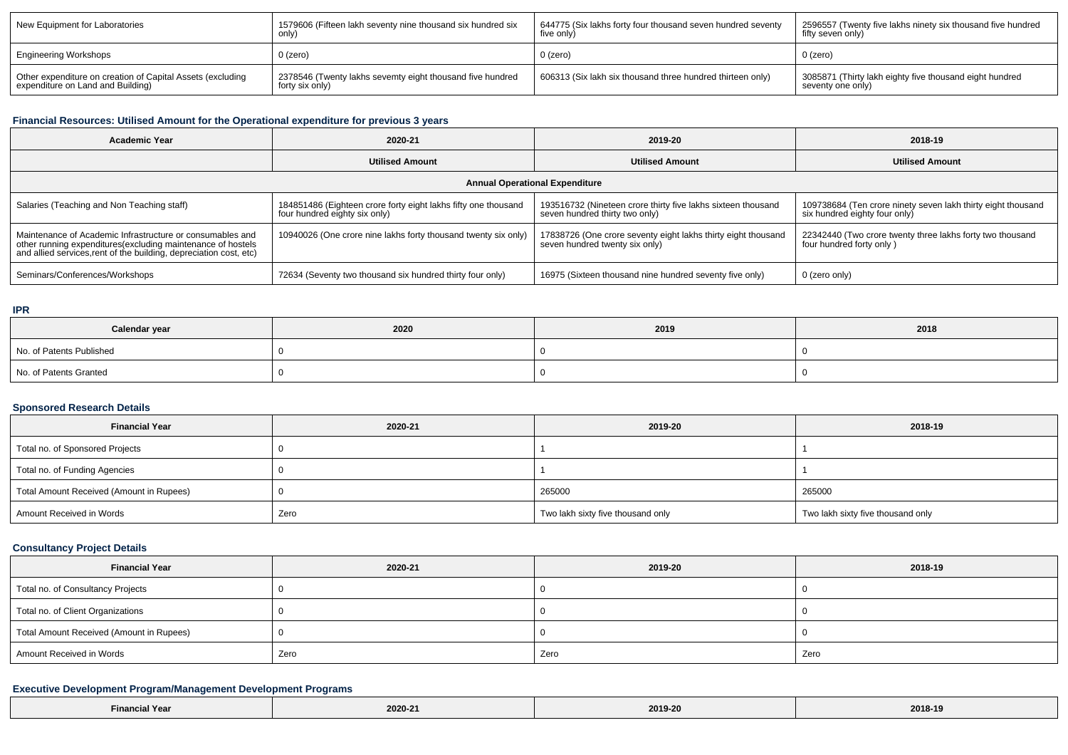| New Equipment for Laboratories                             | 1579606 (Fifteen lakh seventy nine thousand six hundred six | 644775 (Six lakhs forty four thousand seven hundred seventy | 2596557 (Twenty five lakhs ninety six thousand five hundred |
|------------------------------------------------------------|-------------------------------------------------------------|-------------------------------------------------------------|-------------------------------------------------------------|
|                                                            | only                                                        | five only)                                                  | fifty seven only)                                           |
| Engineering Workshops                                      | $0$ (zero)                                                  | $0$ (zero)                                                  | 0 (zero)                                                    |
| Other expenditure on creation of Capital Assets (excluding | 2378546 (Twenty lakhs sevemty eight thousand five hundred   | 606313 (Six lakh six thousand three hundred thirteen only)  | 3085871 (Thirty lakh eighty five thousand eight hundred     |
| expenditure on Land and Building)                          | forty six only)                                             |                                                             | seventy one only)                                           |

# **Financial Resources: Utilised Amount for the Operational expenditure for previous 3 years**

| <b>Academic Year</b>                                                                                                                                                                            | 2020-21                                                                                         | 2019-20                                                                                         | 2018-19                                                                                       |  |  |  |  |  |
|-------------------------------------------------------------------------------------------------------------------------------------------------------------------------------------------------|-------------------------------------------------------------------------------------------------|-------------------------------------------------------------------------------------------------|-----------------------------------------------------------------------------------------------|--|--|--|--|--|
|                                                                                                                                                                                                 | <b>Utilised Amount</b>                                                                          | <b>Utilised Amount</b>                                                                          | <b>Utilised Amount</b>                                                                        |  |  |  |  |  |
| <b>Annual Operational Expenditure</b>                                                                                                                                                           |                                                                                                 |                                                                                                 |                                                                                               |  |  |  |  |  |
| Salaries (Teaching and Non Teaching staff)                                                                                                                                                      | 184851486 (Eighteen crore forty eight lakhs fifty one thousand<br>four hundred eighty six only) | 193516732 (Nineteen crore thirty five lakhs sixteen thousand<br>seven hundred thirty two only)  | 109738684 (Ten crore ninety seven lakh thirty eight thousand<br>six hundred eighty four only) |  |  |  |  |  |
| Maintenance of Academic Infrastructure or consumables and<br>other running expenditures (excluding maintenance of hostels<br>and allied services, rent of the building, depreciation cost, etc) | 10940026 (One crore nine lakhs forty thousand twenty six only)                                  | 17838726 (One crore seventy eight lakhs thirty eight thousand<br>seven hundred twenty six only) | 22342440 (Two crore twenty three lakhs forty two thousand<br>four hundred forty only)         |  |  |  |  |  |
| Seminars/Conferences/Workshops                                                                                                                                                                  | 72634 (Seventy two thousand six hundred thirty four only)                                       | 16975 (Sixteen thousand nine hundred seventy five only)                                         | 0 (zero only)                                                                                 |  |  |  |  |  |

## **IPR**

| Calendar year            | 2020 | 2019 | 2018 |
|--------------------------|------|------|------|
| No. of Patents Published |      |      |      |
| No. of Patents Granted   |      |      |      |

## **Sponsored Research Details**

| <b>Financial Year</b>                    | 2020-21 | 2019-20                           | 2018-19                           |
|------------------------------------------|---------|-----------------------------------|-----------------------------------|
| Total no. of Sponsored Projects          |         |                                   |                                   |
| Total no. of Funding Agencies            |         |                                   |                                   |
| Total Amount Received (Amount in Rupees) |         | 265000                            | 265000                            |
| Amount Received in Words                 | Zero    | Two lakh sixty five thousand only | Two lakh sixty five thousand only |

## **Consultancy Project Details**

| <b>Financial Year</b>                    | 2020-21 | 2019-20 | 2018-19 |
|------------------------------------------|---------|---------|---------|
| Total no. of Consultancy Projects        |         |         |         |
| Total no. of Client Organizations        |         |         |         |
| Total Amount Received (Amount in Rupees) |         |         |         |
| Amount Received in Words                 | Zero    | Zero    | Zero    |

## **Executive Development Program/Management Development Programs**

| N Year<br><b>`</b> ∙ınanc.<br>. | 2020-21<br>the contract of the contract of | 2019-20 | 2018-19<br>_____ |
|---------------------------------|--------------------------------------------|---------|------------------|
|---------------------------------|--------------------------------------------|---------|------------------|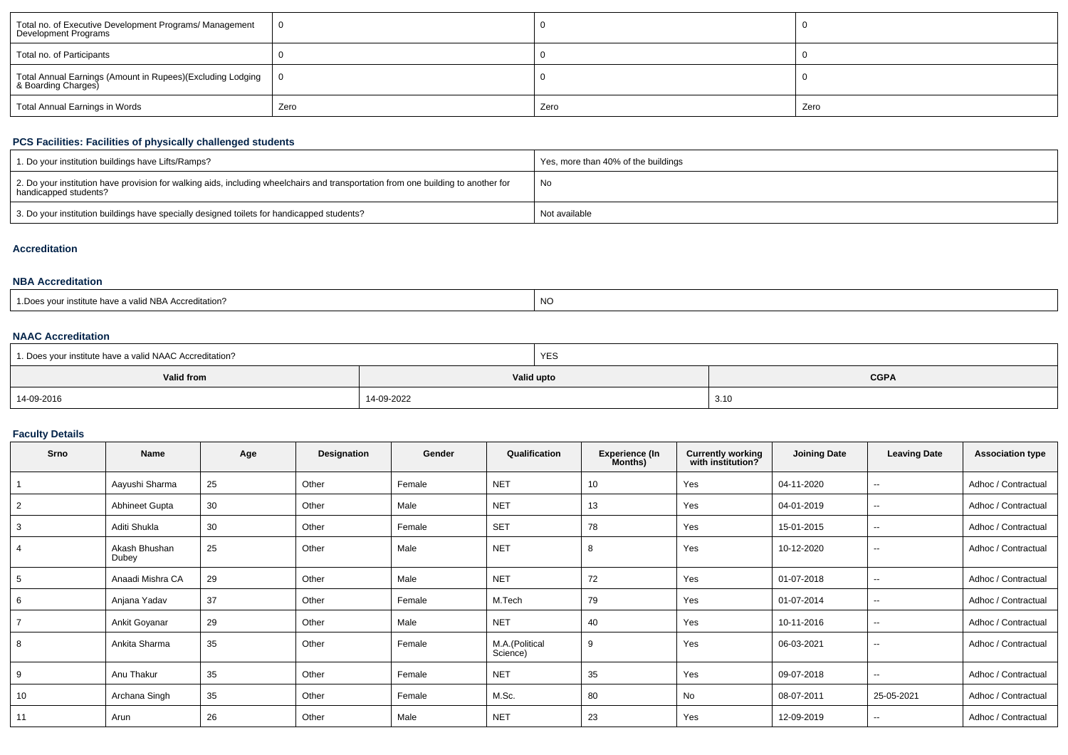| Total no. of Executive Development Programs/ Management<br>Development Programs   |      |      |      |
|-----------------------------------------------------------------------------------|------|------|------|
| Total no. of Participants                                                         |      |      |      |
| Total Annual Earnings (Amount in Rupees)(Excluding Lodging<br>& Boarding Charges) |      |      |      |
| Total Annual Earnings in Words                                                    | Zero | Zero | Zero |

## **PCS Facilities: Facilities of physically challenged students**

| 1. Do your institution buildings have Lifts/Ramps?                                                                                                         | Yes, more than 40% of the buildings |
|------------------------------------------------------------------------------------------------------------------------------------------------------------|-------------------------------------|
| 2. Do your institution have provision for walking aids, including wheelchairs and transportation from one building to another for<br>handicapped students? | No                                  |
| 3. Do your institution buildings have specially designed toilets for handicapped students?                                                                 | Not available                       |

## **Accreditation**

## **NBA Accreditation**

| 1. Does vour institute have a valid NBA Accreditation? | <b>NC</b> |
|--------------------------------------------------------|-----------|
|--------------------------------------------------------|-----------|

## **NAAC Accreditation**

| 1. Does your institute have a valid NAAC Accreditation? |            | <b>YES</b> |             |  |  |  |
|---------------------------------------------------------|------------|------------|-------------|--|--|--|
| Valid from                                              |            | Valid upto | <b>CGPA</b> |  |  |  |
| 14-09-2016                                              | 14-09-2022 |            | 3.10        |  |  |  |

## **Faculty Details**

| Srno           | <b>Name</b>            | Age | Designation | Gender | Qualification              | <b>Experience (In</b><br>Months) | <b>Currently working</b><br>with institution? | <b>Joining Date</b> | <b>Leaving Date</b>      | <b>Association type</b> |
|----------------|------------------------|-----|-------------|--------|----------------------------|----------------------------------|-----------------------------------------------|---------------------|--------------------------|-------------------------|
|                | Aayushi Sharma         | 25  | Other       | Female | <b>NET</b>                 | 10                               | Yes                                           | 04-11-2020          | --                       | Adhoc / Contractual     |
| $\overline{2}$ | Abhineet Gupta         | 30  | Other       | Male   | <b>NET</b>                 | 13                               | Yes                                           | 04-01-2019          | $\overline{\phantom{a}}$ | Adhoc / Contractual     |
| 3              | Aditi Shukla           | 30  | Other       | Female | <b>SET</b>                 | 78                               | Yes                                           | 15-01-2015          | $\overline{\phantom{a}}$ | Adhoc / Contractual     |
| 4              | Akash Bhushan<br>Dubey | 25  | Other       | Male   | <b>NET</b>                 | 8                                | Yes                                           | 10-12-2020          | $\overline{\phantom{a}}$ | Adhoc / Contractual     |
| 5              | Anaadi Mishra CA       | 29  | Other       | Male   | <b>NET</b>                 | 72                               | Yes                                           | 01-07-2018          | $\sim$                   | Adhoc / Contractual     |
| 6              | Anjana Yadav           | 37  | Other       | Female | M.Tech                     | 79                               | Yes                                           | 01-07-2014          | $\sim$                   | Adhoc / Contractual     |
|                | Ankit Goyanar          | 29  | Other       | Male   | <b>NET</b>                 | 40                               | Yes                                           | 10-11-2016          | $\overline{\phantom{a}}$ | Adhoc / Contractual     |
| 8              | Ankita Sharma          | 35  | Other       | Female | M.A.(Political<br>Science) | 9                                | Yes                                           | 06-03-2021          | $\overline{\phantom{a}}$ | Adhoc / Contractual     |
| 9              | Anu Thakur             | 35  | Other       | Female | <b>NET</b>                 | 35                               | Yes                                           | 09-07-2018          | $\sim$                   | Adhoc / Contractual     |
| 10             | Archana Singh          | 35  | Other       | Female | M.Sc.                      | 80                               | No                                            | 08-07-2011          | 25-05-2021               | Adhoc / Contractual     |
| 11             | Arun                   | 26  | Other       | Male   | <b>NET</b>                 | 23                               | Yes                                           | 12-09-2019          | $\overline{\phantom{a}}$ | Adhoc / Contractual     |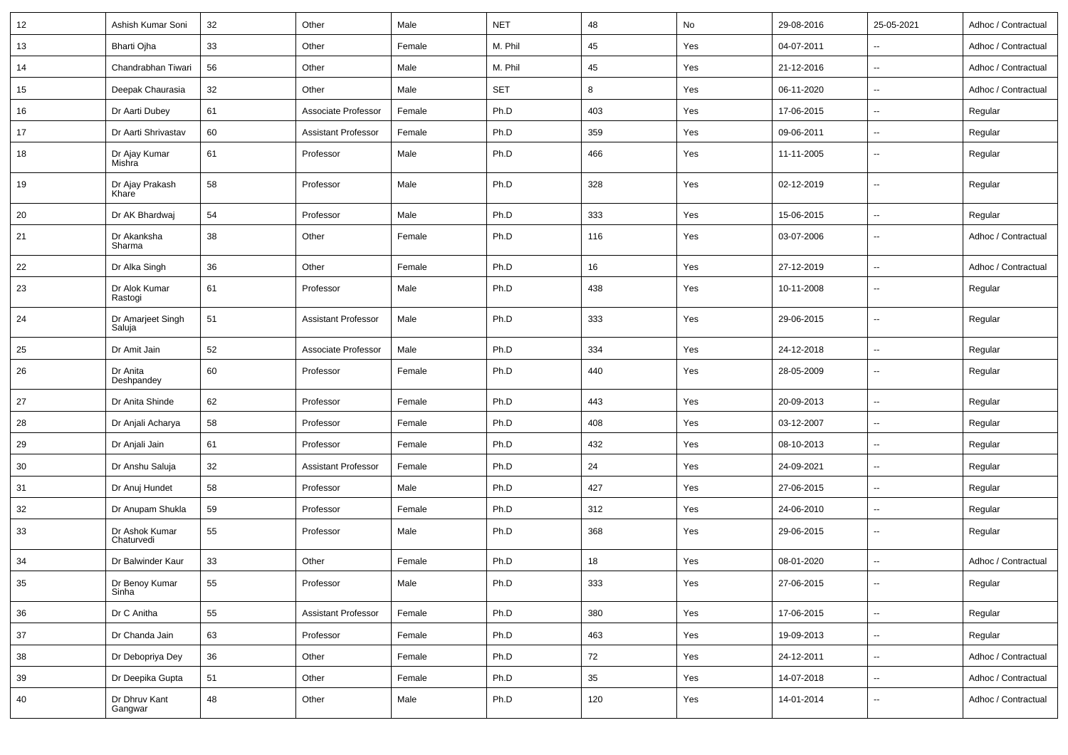| 12 | Ashish Kumar Soni            | 32     | Other                      | Male   | <b>NET</b> | 48  | No  | 29-08-2016 | 25-05-2021               | Adhoc / Contractual |
|----|------------------------------|--------|----------------------------|--------|------------|-----|-----|------------|--------------------------|---------------------|
| 13 | Bharti Ojha                  | 33     | Other                      | Female | M. Phil    | 45  | Yes | 04-07-2011 |                          | Adhoc / Contractual |
| 14 | Chandrabhan Tiwari           | 56     | Other                      | Male   | M. Phil    | 45  | Yes | 21-12-2016 | $\sim$                   | Adhoc / Contractual |
| 15 | Deepak Chaurasia             | 32     | Other                      | Male   | <b>SET</b> | 8   | Yes | 06-11-2020 | $\overline{\phantom{a}}$ | Adhoc / Contractual |
| 16 | Dr Aarti Dubey               | 61     | Associate Professor        | Female | Ph.D       | 403 | Yes | 17-06-2015 | $\sim$                   | Regular             |
| 17 | Dr Aarti Shrivastav          | 60     | <b>Assistant Professor</b> | Female | Ph.D       | 359 | Yes | 09-06-2011 | $\sim$                   | Regular             |
| 18 | Dr Ajay Kumar<br>Mishra      | 61     | Professor                  | Male   | Ph.D       | 466 | Yes | 11-11-2005 | $\sim$                   | Regular             |
| 19 | Dr Ajay Prakash<br>Khare     | 58     | Professor                  | Male   | Ph.D       | 328 | Yes | 02-12-2019 | $\sim$                   | Regular             |
| 20 | Dr AK Bhardwaj               | 54     | Professor                  | Male   | Ph.D       | 333 | Yes | 15-06-2015 | $\sim$                   | Regular             |
| 21 | Dr Akanksha<br>Sharma        | 38     | Other                      | Female | Ph.D       | 116 | Yes | 03-07-2006 | $\overline{\phantom{a}}$ | Adhoc / Contractual |
| 22 | Dr Alka Singh                | 36     | Other                      | Female | Ph.D       | 16  | Yes | 27-12-2019 | $\overline{\phantom{a}}$ | Adhoc / Contractual |
| 23 | Dr Alok Kumar<br>Rastogi     | 61     | Professor                  | Male   | Ph.D       | 438 | Yes | 10-11-2008 | $\sim$                   | Regular             |
| 24 | Dr Amarjeet Singh<br>Saluja  | 51     | <b>Assistant Professor</b> | Male   | Ph.D       | 333 | Yes | 29-06-2015 | $\overline{\phantom{a}}$ | Regular             |
| 25 | Dr Amit Jain                 | 52     | Associate Professor        | Male   | Ph.D       | 334 | Yes | 24-12-2018 | $\sim$                   | Regular             |
| 26 | Dr Anita<br>Deshpandey       | 60     | Professor                  | Female | Ph.D       | 440 | Yes | 28-05-2009 | $\sim$                   | Regular             |
| 27 | Dr Anita Shinde              | 62     | Professor                  | Female | Ph.D       | 443 | Yes | 20-09-2013 | $\sim$                   | Regular             |
| 28 | Dr Anjali Acharya            | 58     | Professor                  | Female | Ph.D       | 408 | Yes | 03-12-2007 | --                       | Regular             |
| 29 | Dr Anjali Jain               | 61     | Professor                  | Female | Ph.D       | 432 | Yes | 08-10-2013 | $\sim$                   | Regular             |
| 30 | Dr Anshu Saluja              | 32     | Assistant Professor        | Female | Ph.D       | 24  | Yes | 24-09-2021 | $\overline{\phantom{a}}$ | Regular             |
| 31 | Dr Anuj Hundet               | 58     | Professor                  | Male   | Ph.D       | 427 | Yes | 27-06-2015 | $\sim$                   | Regular             |
| 32 | Dr Anupam Shukla             | 59     | Professor                  | Female | Ph.D       | 312 | Yes | 24-06-2010 | $\sim$                   | Regular             |
| 33 | Dr Ashok Kumar<br>Chaturvedi | 55     | Professor                  | Male   | Ph.D       | 368 | Yes | 29-06-2015 | $\sim$                   | Regular             |
| 34 | Dr Balwinder Kaur            | 33     | Other                      | Female | Ph.D       | 18  | Yes | 08-01-2020 | $\sim$                   | Adhoc / Contractual |
| 35 | Dr Benoy Kumar<br>Sinha      | 55     | Professor                  | Male   | Ph.D       | 333 | Yes | 27-06-2015 |                          | Regular             |
| 36 | Dr C Anitha                  | 55     | <b>Assistant Professor</b> | Female | Ph.D       | 380 | Yes | 17-06-2015 | $\overline{\phantom{a}}$ | Regular             |
| 37 | Dr Chanda Jain               | 63     | Professor                  | Female | Ph.D       | 463 | Yes | 19-09-2013 | $\overline{\phantom{a}}$ | Regular             |
| 38 | Dr Debopriya Dey             | $36\,$ | Other                      | Female | Ph.D       | 72  | Yes | 24-12-2011 | $\overline{\phantom{a}}$ | Adhoc / Contractual |
| 39 | Dr Deepika Gupta             | 51     | Other                      | Female | Ph.D       | 35  | Yes | 14-07-2018 | $\overline{\phantom{a}}$ | Adhoc / Contractual |
| 40 | Dr Dhruv Kant<br>Gangwar     | 48     | Other                      | Male   | Ph.D       | 120 | Yes | 14-01-2014 | $\overline{\phantom{a}}$ | Adhoc / Contractual |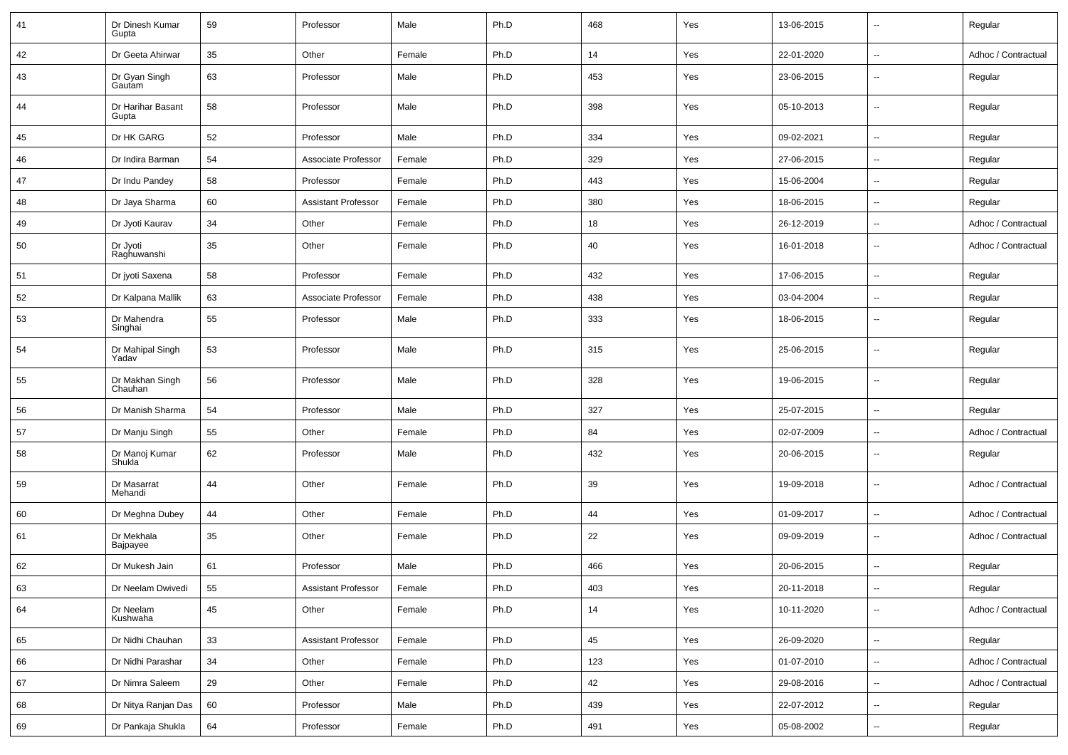| 41 | Dr Dinesh Kumar<br>Gupta   | 59 | Professor                  | Male   | Ph.D | 468 | Yes | 13-06-2015 | $\overline{\phantom{a}}$ | Regular             |
|----|----------------------------|----|----------------------------|--------|------|-----|-----|------------|--------------------------|---------------------|
| 42 | Dr Geeta Ahirwar           | 35 | Other                      | Female | Ph.D | 14  | Yes | 22-01-2020 | $\overline{\phantom{a}}$ | Adhoc / Contractual |
| 43 | Dr Gyan Singh<br>Gautam    | 63 | Professor                  | Male   | Ph.D | 453 | Yes | 23-06-2015 | $\overline{\phantom{a}}$ | Regular             |
| 44 | Dr Harihar Basant<br>Gupta | 58 | Professor                  | Male   | Ph.D | 398 | Yes | 05-10-2013 | $\overline{\phantom{a}}$ | Regular             |
| 45 | Dr HK GARG                 | 52 | Professor                  | Male   | Ph.D | 334 | Yes | 09-02-2021 | $\overline{\phantom{a}}$ | Regular             |
| 46 | Dr Indira Barman           | 54 | Associate Professor        | Female | Ph.D | 329 | Yes | 27-06-2015 | ÷.                       | Regular             |
| 47 | Dr Indu Pandey             | 58 | Professor                  | Female | Ph.D | 443 | Yes | 15-06-2004 | $\overline{\phantom{a}}$ | Regular             |
| 48 | Dr Jaya Sharma             | 60 | <b>Assistant Professor</b> | Female | Ph.D | 380 | Yes | 18-06-2015 | $\overline{\phantom{a}}$ | Regular             |
| 49 | Dr Jyoti Kaurav            | 34 | Other                      | Female | Ph.D | 18  | Yes | 26-12-2019 | $\sim$                   | Adhoc / Contractual |
| 50 | Dr Jyoti<br>Raghuwanshi    | 35 | Other                      | Female | Ph.D | 40  | Yes | 16-01-2018 | $\overline{\phantom{a}}$ | Adhoc / Contractual |
| 51 | Dr jyoti Saxena            | 58 | Professor                  | Female | Ph.D | 432 | Yes | 17-06-2015 | $\overline{\phantom{a}}$ | Regular             |
| 52 | Dr Kalpana Mallik          | 63 | Associate Professor        | Female | Ph.D | 438 | Yes | 03-04-2004 | ⊶.                       | Regular             |
| 53 | Dr Mahendra<br>Singhai     | 55 | Professor                  | Male   | Ph.D | 333 | Yes | 18-06-2015 | ÷.                       | Regular             |
| 54 | Dr Mahipal Singh<br>Yadav  | 53 | Professor                  | Male   | Ph.D | 315 | Yes | 25-06-2015 | $\overline{\phantom{a}}$ | Regular             |
| 55 | Dr Makhan Singh<br>Chauhan | 56 | Professor                  | Male   | Ph.D | 328 | Yes | 19-06-2015 | $\overline{\phantom{a}}$ | Regular             |
| 56 | Dr Manish Sharma           | 54 | Professor                  | Male   | Ph.D | 327 | Yes | 25-07-2015 | $\overline{\phantom{a}}$ | Regular             |
| 57 | Dr Manju Singh             | 55 | Other                      | Female | Ph.D | 84  | Yes | 02-07-2009 | $\overline{\phantom{a}}$ | Adhoc / Contractual |
| 58 | Dr Manoj Kumar<br>Shukla   | 62 | Professor                  | Male   | Ph.D | 432 | Yes | 20-06-2015 | $\overline{\phantom{a}}$ | Regular             |
| 59 | Dr Masarrat<br>Mehandi     | 44 | Other                      | Female | Ph.D | 39  | Yes | 19-09-2018 | $\overline{\phantom{a}}$ | Adhoc / Contractual |
| 60 | Dr Meghna Dubey            | 44 | Other                      | Female | Ph.D | 44  | Yes | 01-09-2017 | $\overline{\phantom{a}}$ | Adhoc / Contractual |
| 61 | Dr Mekhala<br>Bajpayee     | 35 | Other                      | Female | Ph.D | 22  | Yes | 09-09-2019 | $\overline{\phantom{a}}$ | Adhoc / Contractual |
| 62 | Dr Mukesh Jain             | 61 | Professor                  | Male   | Ph.D | 466 | Yes | 20-06-2015 | $\overline{\phantom{a}}$ | Regular             |
| 63 | Dr Neelam Dwivedi          | 55 | <b>Assistant Professor</b> | Female | Ph.D | 403 | Yes | 20-11-2018 | $\overline{\phantom{a}}$ | Regular             |
| 64 | Dr Neelam<br>Kushwaha      | 45 | Other                      | Female | Ph.D | 14  | Yes | 10-11-2020 | $\overline{\phantom{a}}$ | Adhoc / Contractual |
| 65 | Dr Nidhi Chauhan           | 33 | <b>Assistant Professor</b> | Female | Ph.D | 45  | Yes | 26-09-2020 | щ.                       | Regular             |
| 66 | Dr Nidhi Parashar          | 34 | Other                      | Female | Ph.D | 123 | Yes | 01-07-2010 | щ.                       | Adhoc / Contractual |
| 67 | Dr Nimra Saleem            | 29 | Other                      | Female | Ph.D | 42  | Yes | 29-08-2016 | $\overline{\phantom{a}}$ | Adhoc / Contractual |
| 68 | Dr Nitya Ranjan Das        | 60 | Professor                  | Male   | Ph.D | 439 | Yes | 22-07-2012 | н,                       | Regular             |
| 69 | Dr Pankaja Shukla          | 64 | Professor                  | Female | Ph.D | 491 | Yes | 05-08-2002 | $\overline{\phantom{a}}$ | Regular             |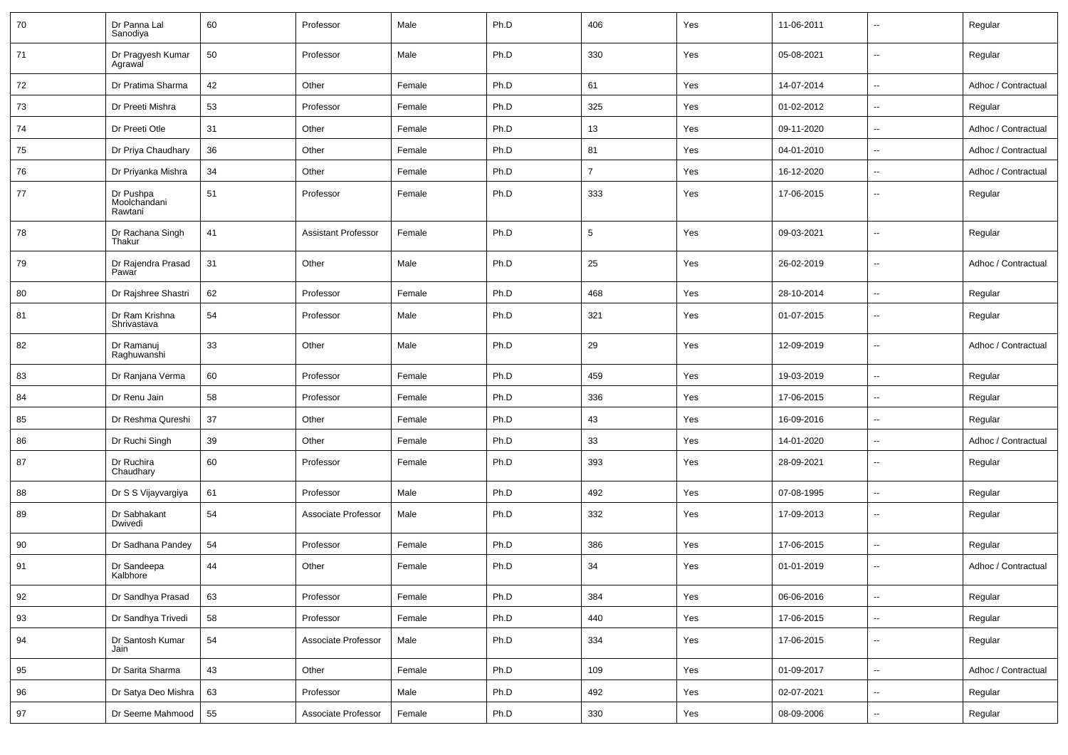| 70 | Dr Panna Lal<br>Sanodiya             | 60 | Professor                  | Male   | Ph.D | 406            | Yes | 11-06-2011 | ۰.                       | Regular             |
|----|--------------------------------------|----|----------------------------|--------|------|----------------|-----|------------|--------------------------|---------------------|
| 71 | Dr Pragyesh Kumar<br>Agrawal         | 50 | Professor                  | Male   | Ph.D | 330            | Yes | 05-08-2021 | $\overline{a}$           | Regular             |
| 72 | Dr Pratima Sharma                    | 42 | Other                      | Female | Ph.D | 61             | Yes | 14-07-2014 | --                       | Adhoc / Contractual |
| 73 | Dr Preeti Mishra                     | 53 | Professor                  | Female | Ph.D | 325            | Yes | 01-02-2012 | --                       | Regular             |
| 74 | Dr Preeti Otle                       | 31 | Other                      | Female | Ph.D | 13             | Yes | 09-11-2020 | $\overline{a}$           | Adhoc / Contractual |
| 75 | Dr Priya Chaudhary                   | 36 | Other                      | Female | Ph.D | 81             | Yes | 04-01-2010 | ۰.                       | Adhoc / Contractual |
| 76 | Dr Priyanka Mishra                   | 34 | Other                      | Female | Ph.D | $\overline{7}$ | Yes | 16-12-2020 | $\overline{a}$           | Adhoc / Contractual |
| 77 | Dr Pushpa<br>Moolchandani<br>Rawtani | 51 | Professor                  | Female | Ph.D | 333            | Yes | 17-06-2015 | $\overline{a}$           | Regular             |
| 78 | Dr Rachana Singh<br>Thakur           | 41 | <b>Assistant Professor</b> | Female | Ph.D | $\sqrt{5}$     | Yes | 09-03-2021 | $\overline{a}$           | Regular             |
| 79 | Dr Rajendra Prasad<br>Pawar          | 31 | Other                      | Male   | Ph.D | 25             | Yes | 26-02-2019 | $\overline{a}$           | Adhoc / Contractual |
| 80 | Dr Rajshree Shastri                  | 62 | Professor                  | Female | Ph.D | 468            | Yes | 28-10-2014 | u.                       | Regular             |
| 81 | Dr Ram Krishna<br>Shrivastava        | 54 | Professor                  | Male   | Ph.D | 321            | Yes | 01-07-2015 | $\overline{a}$           | Regular             |
| 82 | Dr Ramanuj<br>Raghuwanshi            | 33 | Other                      | Male   | Ph.D | 29             | Yes | 12-09-2019 | $\overline{a}$           | Adhoc / Contractual |
| 83 | Dr Ranjana Verma                     | 60 | Professor                  | Female | Ph.D | 459            | Yes | 19-03-2019 | $\overline{a}$           | Regular             |
| 84 | Dr Renu Jain                         | 58 | Professor                  | Female | Ph.D | 336            | Yes | 17-06-2015 | --                       | Regular             |
| 85 | Dr Reshma Qureshi                    | 37 | Other                      | Female | Ph.D | 43             | Yes | 16-09-2016 | $\overline{a}$           | Regular             |
| 86 | Dr Ruchi Singh                       | 39 | Other                      | Female | Ph.D | 33             | Yes | 14-01-2020 | u.                       | Adhoc / Contractual |
| 87 | Dr Ruchira<br>Chaudhary              | 60 | Professor                  | Female | Ph.D | 393            | Yes | 28-09-2021 | ۰.                       | Regular             |
| 88 | Dr S S Vijayvargiya                  | 61 | Professor                  | Male   | Ph.D | 492            | Yes | 07-08-1995 | $\overline{a}$           | Regular             |
| 89 | Dr Sabhakant<br>Dwivedi              | 54 | Associate Professor        | Male   | Ph.D | 332            | Yes | 17-09-2013 | $\overline{a}$           | Regular             |
| 90 | Dr Sadhana Pandey                    | 54 | Professor                  | Female | Ph.D | 386            | Yes | 17-06-2015 | $\overline{a}$           | Regular             |
| 91 | Dr Sandeepa<br>Kalbhore              | 44 | Other                      | Female | Ph.D | 34             | Yes | 01-01-2019 | $\overline{a}$           | Adhoc / Contractual |
| 92 | Dr Sandhya Prasad                    | 63 | Professor                  | Female | Ph.D | 384            | Yes | 06-06-2016 | Ξ.                       | Regular             |
| 93 | Dr Sandhya Trivedi                   | 58 | Professor                  | Female | Ph.D | 440            | Yes | 17-06-2015 | $\overline{\phantom{a}}$ | Regular             |
| 94 | Dr Santosh Kumar<br>Jain             | 54 | Associate Professor        | Male   | Ph.D | 334            | Yes | 17-06-2015 | Ξ.                       | Regular             |
| 95 | Dr Sarita Sharma                     | 43 | Other                      | Female | Ph.D | 109            | Yes | 01-09-2017 | $\sim$                   | Adhoc / Contractual |
| 96 | Dr Satya Deo Mishra                  | 63 | Professor                  | Male   | Ph.D | 492            | Yes | 02-07-2021 | Ξ.                       | Regular             |
| 97 | Dr Seeme Mahmood                     | 55 | Associate Professor        | Female | Ph.D | 330            | Yes | 08-09-2006 | --                       | Regular             |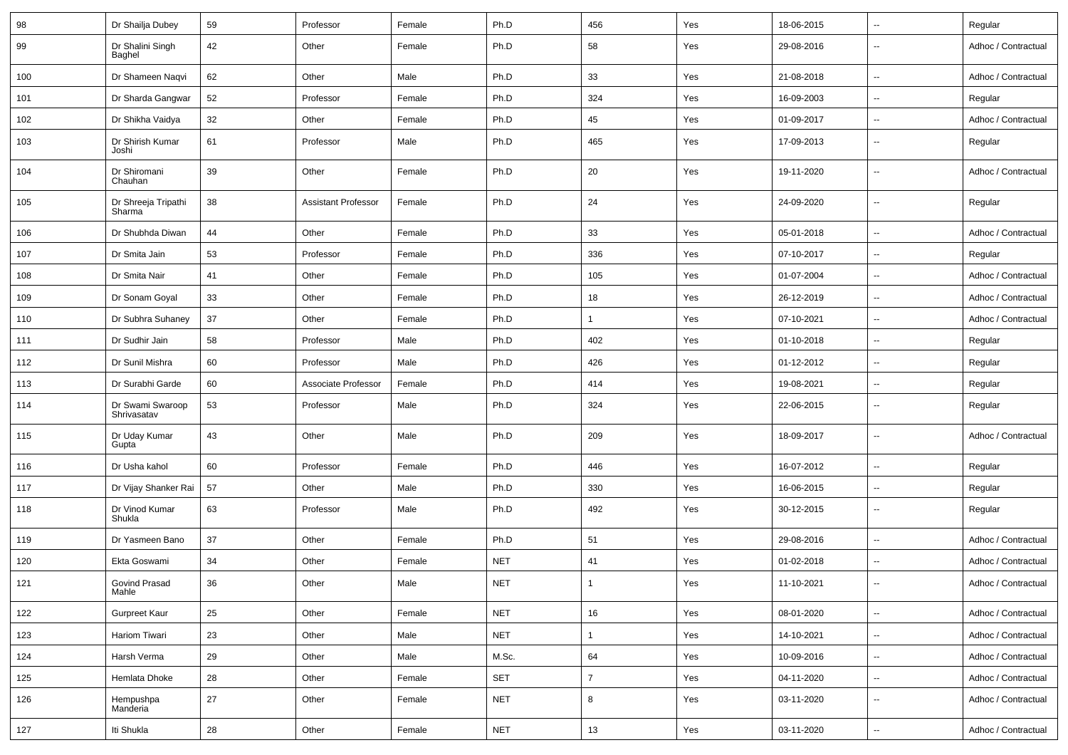| 98  | Dr Shailja Dubey                | 59 | Professor                  | Female | Ph.D       | 456            | Yes | 18-06-2015 | $\mathbf{u}$             | Regular             |
|-----|---------------------------------|----|----------------------------|--------|------------|----------------|-----|------------|--------------------------|---------------------|
| 99  | Dr Shalini Singh<br>Baghel      | 42 | Other                      | Female | Ph.D       | 58             | Yes | 29-08-2016 | $\mathbf{u}$             | Adhoc / Contractual |
| 100 | Dr Shameen Naqvi                | 62 | Other                      | Male   | Ph.D       | 33             | Yes | 21-08-2018 | $\overline{\phantom{a}}$ | Adhoc / Contractual |
| 101 | Dr Sharda Gangwar               | 52 | Professor                  | Female | Ph.D       | 324            | Yes | 16-09-2003 | $\overline{\phantom{a}}$ | Regular             |
| 102 | Dr Shikha Vaidya                | 32 | Other                      | Female | Ph.D       | 45             | Yes | 01-09-2017 | $\mathbf{u}$             | Adhoc / Contractual |
| 103 | Dr Shirish Kumar<br>Joshi       | 61 | Professor                  | Male   | Ph.D       | 465            | Yes | 17-09-2013 | $\overline{\phantom{a}}$ | Regular             |
| 104 | Dr Shiromani<br>Chauhan         | 39 | Other                      | Female | Ph.D       | 20             | Yes | 19-11-2020 | $\overline{\phantom{a}}$ | Adhoc / Contractual |
| 105 | Dr Shreeja Tripathi<br>Sharma   | 38 | <b>Assistant Professor</b> | Female | Ph.D       | 24             | Yes | 24-09-2020 | $\overline{\phantom{a}}$ | Regular             |
| 106 | Dr Shubhda Diwan                | 44 | Other                      | Female | Ph.D       | 33             | Yes | 05-01-2018 | $\overline{\phantom{a}}$ | Adhoc / Contractual |
| 107 | Dr Smita Jain                   | 53 | Professor                  | Female | Ph.D       | 336            | Yes | 07-10-2017 | $\overline{\phantom{a}}$ | Regular             |
| 108 | Dr Smita Nair                   | 41 | Other                      | Female | Ph.D       | 105            | Yes | 01-07-2004 | $\overline{\phantom{a}}$ | Adhoc / Contractual |
| 109 | Dr Sonam Goyal                  | 33 | Other                      | Female | Ph.D       | 18             | Yes | 26-12-2019 | $\overline{\phantom{a}}$ | Adhoc / Contractual |
| 110 | Dr Subhra Suhaney               | 37 | Other                      | Female | Ph.D       | $\mathbf{1}$   | Yes | 07-10-2021 | $\overline{\phantom{a}}$ | Adhoc / Contractual |
| 111 | Dr Sudhir Jain                  | 58 | Professor                  | Male   | Ph.D       | 402            | Yes | 01-10-2018 | $\overline{\phantom{a}}$ | Regular             |
| 112 | Dr Sunil Mishra                 | 60 | Professor                  | Male   | Ph.D       | 426            | Yes | 01-12-2012 | $\overline{\phantom{a}}$ | Regular             |
| 113 | Dr Surabhi Garde                | 60 | Associate Professor        | Female | Ph.D       | 414            | Yes | 19-08-2021 | $\overline{\phantom{a}}$ | Regular             |
| 114 | Dr Swami Swaroop<br>Shrivasatav | 53 | Professor                  | Male   | Ph.D       | 324            | Yes | 22-06-2015 | $\sim$                   | Regular             |
| 115 | Dr Uday Kumar<br>Gupta          | 43 | Other                      | Male   | Ph.D       | 209            | Yes | 18-09-2017 | $\sim$                   | Adhoc / Contractual |
| 116 | Dr Usha kahol                   | 60 | Professor                  | Female | Ph.D       | 446            | Yes | 16-07-2012 | $\overline{\phantom{a}}$ | Regular             |
| 117 | Dr Vijay Shanker Rai            | 57 | Other                      | Male   | Ph.D       | 330            | Yes | 16-06-2015 | $\overline{\phantom{a}}$ | Regular             |
| 118 | Dr Vinod Kumar<br>Shukla        | 63 | Professor                  | Male   | Ph.D       | 492            | Yes | 30-12-2015 | $\overline{\phantom{a}}$ | Regular             |
| 119 | Dr Yasmeen Bano                 | 37 | Other                      | Female | Ph.D       | 51             | Yes | 29-08-2016 | $\overline{\phantom{a}}$ | Adhoc / Contractual |
| 120 | Ekta Goswami                    | 34 | Other                      | Female | <b>NET</b> | 41             | Yes | 01-02-2018 | ۰.                       | Adhoc / Contractual |
| 121 | Govind Prasad<br>Mahle          | 36 | Other                      | Male   | <b>NET</b> |                | Yes | 11-10-2021 | $\overline{\phantom{a}}$ | Adhoc / Contractual |
| 122 | <b>Gurpreet Kaur</b>            | 25 | Other                      | Female | <b>NET</b> | 16             | Yes | 08-01-2020 | $\overline{\phantom{a}}$ | Adhoc / Contractual |
| 123 | <b>Hariom Tiwari</b>            | 23 | Other                      | Male   | <b>NET</b> | $\mathbf{1}$   | Yes | 14-10-2021 | $\overline{\phantom{a}}$ | Adhoc / Contractual |
| 124 | Harsh Verma                     | 29 | Other                      | Male   | M.Sc.      | 64             | Yes | 10-09-2016 | $\overline{\phantom{a}}$ | Adhoc / Contractual |
| 125 | Hemlata Dhoke                   | 28 | Other                      | Female | SET        | $\overline{7}$ | Yes | 04-11-2020 | $\overline{\phantom{a}}$ | Adhoc / Contractual |
| 126 | Hempushpa<br>Manderia           | 27 | Other                      | Female | <b>NET</b> | 8              | Yes | 03-11-2020 | $\overline{\phantom{a}}$ | Adhoc / Contractual |
| 127 | Iti Shukla                      | 28 | Other                      | Female | <b>NET</b> | 13             | Yes | 03-11-2020 | $\overline{\phantom{a}}$ | Adhoc / Contractual |